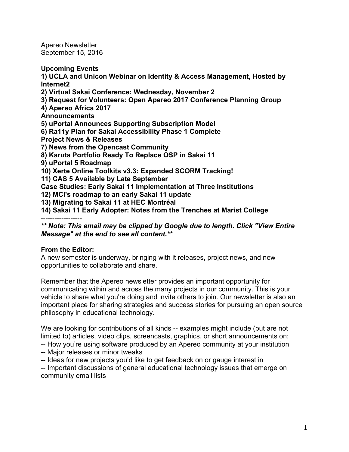Apereo Newsletter September 15, 2016

**Upcoming Events**

**1) UCLA and Unicon Webinar on Identity & Access Management, Hosted by Internet2**

**2) Virtual Sakai Conference: Wednesday, November 2**

**3) Request for Volunteers: Open Apereo 2017 Conference Planning Group**

**4) Apereo Africa 2017**

**Announcements**

**5) uPortal Announces Supporting Subscription Model**

- **6) Ra11y Plan for Sakai Accessibility Phase 1 Complete**
- **Project News & Releases**

**7) News from the Opencast Community**

**8) Karuta Portfolio Ready To Replace OSP in Sakai 11**

**9) uPortal 5 Roadmap**

**10) Xerte Online Toolkits v3.3: Expanded SCORM Tracking!**

**11) CAS 5 Available by Late September**

**Case Studies: Early Sakai 11 Implementation at Three Institutions**

**12) MCI's roadmap to an early Sakai 11 update**

**13) Migrating to Sakai 11 at HEC Montréal**

**14) Sakai 11 Early Adopter: Notes from the Trenches at Marist College**

------------------

*\*\* Note: This email may be clipped by Google due to length. Click "View Entire Message" at the end to see all content.\*\**

# **From the Editor:**

A new semester is underway, bringing with it releases, project news, and new opportunities to collaborate and share.

Remember that the Apereo newsletter provides an important opportunity for communicating within and across the many projects in our community. This is your vehicle to share what you're doing and invite others to join. Our newsletter is also an important place for sharing strategies and success stories for pursuing an open source philosophy in educational technology.

We are looking for contributions of all kinds -- examples might include (but are not limited to) articles, video clips, screencasts, graphics, or short announcements on:

-- How you're using software produced by an Apereo community at your institution

-- Major releases or minor tweaks

-- Ideas for new projects you'd like to get feedback on or gauge interest in

-- Important discussions of general educational technology issues that emerge on community email lists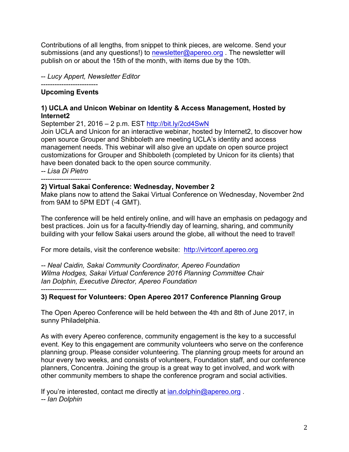Contributions of all lengths, from snippet to think pieces, are welcome. Send your submissions (and any questions!) to newsletter@apereo.org. The newsletter will publish on or about the 15th of the month, with items due by the 10th.

-- *Lucy Appert, Newsletter Editor*

#### ------------------------- **Upcoming Events**

#### **1) UCLA and Unicon Webinar on Identity & Access Management, Hosted by Internet2**

September 21, 2016 – 2 p.m. EST http://bit.ly/2cd4SwN

Join UCLA and Unicon for an interactive webinar, hosted by Internet2, to discover how open source Grouper and Shibboleth are meeting UCLA's identity and access management needs. This webinar will also give an update on open source project customizations for Grouper and Shibboleth (completed by Unicon for its clients) that have been donated back to the open source community. *-- Lisa Di Pietro*

----------------------

#### **2) Virtual Sakai Conference: Wednesday, November 2**

Make plans now to attend the Sakai Virtual Conference on Wednesday, November 2nd from 9AM to 5PM EDT (-4 GMT).

The conference will be held entirely online, and will have an emphasis on pedagogy and best practices. Join us for a faculty-friendly day of learning, sharing, and community building with your fellow Sakai users around the globe, all without the need to travel!

For more details, visit the conference website: http://virtconf.apereo.org

*-- Neal Caidin, Sakai Community Coordinator, Apereo Foundation Wilma Hodges, Sakai Virtual Conference 2016 Planning Committee Chair Ian Dolphin, Executive Director, Apereo Foundation*

--------------------

# **3) Request for Volunteers: Open Apereo 2017 Conference Planning Group**

The Open Apereo Conference will be held between the 4th and 8th of June 2017, in sunny Philadelphia.

As with every Apereo conference, community engagement is the key to a successful event. Key to this engagement are community volunteers who serve on the conference planning group. Please consider volunteering. The planning group meets for around an hour every two weeks, and consists of volunteers, Foundation staff, and our conference planners, Concentra. Joining the group is a great way to get involved, and work with other community members to shape the conference program and social activities.

If you're interested, contact me directly at ian.dolphin@apereo.org. *-- Ian Dolphin*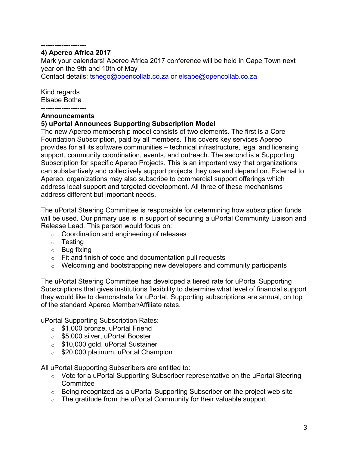#### -------------------- **4) Apereo Africa 2017**

Mark your calendars! Apereo Africa 2017 conference will be held in Cape Town next year on the 9th and 10th of May

Contact details: tshego@opencollab.co.za or elsabe@opencollab.co.za

Kind regards Elsabe Botha

#### **Announcements**

### **5) uPortal Announces Supporting Subscription Model**

The new Apereo membership model consists of two elements. The first is a Core Foundation Subscription, paid by all members. This covers key services Apereo provides for all its software communities – technical infrastructure, legal and licensing support, community coordination, events, and outreach. The second is a Supporting Subscription for specific Apereo Projects. This is an important way that organizations can substantively and collectively support projects they use and depend on. External to Apereo, organizations may also subscribe to commercial support offerings which address local support and targeted development. All three of these mechanisms address different but important needs.

The uPortal Steering Committee is responsible for determining how subscription funds will be used. Our primary use is in support of securing a uPortal Community Liaison and Release Lead. This person would focus on:

- o Coordination and engineering of releases
- o Testing
- o Bug fixing
- $\circ$  Fit and finish of code and documentation pull requests
- $\circ$  Welcoming and bootstrapping new developers and community participants

The uPortal Steering Committee has developed a tiered rate for uPortal Supporting Subscriptions that gives institutions flexibility to determine what level of financial support they would like to demonstrate for uPortal. Supporting subscriptions are annual, on top of the standard Apereo Member/Affiliate rates.

uPortal Supporting Subscription Rates:

- o \$1,000 bronze, uPortal Friend
- o \$5,000 silver, uPortal Booster
- o \$10,000 gold, uPortal Sustainer
- o \$20,000 platinum, uPortal Champion

All uPortal Supporting Subscribers are entitled to:

- o Vote for a uPortal Supporting Subscriber representative on the uPortal Steering **Committee**
- $\circ$  Being recognized as a uPortal Supporting Subscriber on the project web site
- $\circ$  The gratitude from the uPortal Community for their valuable support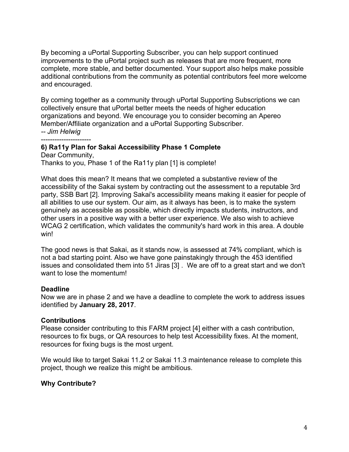By becoming a uPortal Supporting Subscriber, you can help support continued improvements to the uPortal project such as releases that are more frequent, more complete, more stable, and better documented. Your support also helps make possible additional contributions from the community as potential contributors feel more welcome and encouraged.

By coming together as a community through uPortal Supporting Subscriptions we can collectively ensure that uPortal better meets the needs of higher education organizations and beyond. We encourage you to consider becoming an Apereo Member/Affiliate organization and a uPortal Supporting Subscriber.

*-- Jim Helwig* ----------------------

# **6) Ra11y Plan for Sakai Accessibility Phase 1 Complete**

Dear Community, Thanks to you, Phase 1 of the Ra11y plan [1] is complete!

What does this mean? It means that we completed a substantive review of the accessibility of the Sakai system by contracting out the assessment to a reputable 3rd party, SSB Bart [2]. Improving Sakai's accessibility means making it easier for people of all abilities to use our system. Our aim, as it always has been, is to make the system genuinely as accessible as possible, which directly impacts students, instructors, and other users in a positive way with a better user experience. We also wish to achieve WCAG 2 certification, which validates the community's hard work in this area. A double win!

The good news is that Sakai, as it stands now, is assessed at 74% compliant, which is not a bad starting point. Also we have gone painstakingly through the 453 identified issues and consolidated them into 51 Jiras [3] . We are off to a great start and we don't want to lose the momentum!

#### **Deadline**

Now we are in phase 2 and we have a deadline to complete the work to address issues identified by **January 28, 2017**.

#### **Contributions**

Please consider contributing to this FARM project [4] either with a cash contribution, resources to fix bugs, or QA resources to help test Accessibility fixes. At the moment, resources for fixing bugs is the most urgent.

We would like to target Sakai 11.2 or Sakai 11.3 maintenance release to complete this project, though we realize this might be ambitious.

#### **Why Contribute?**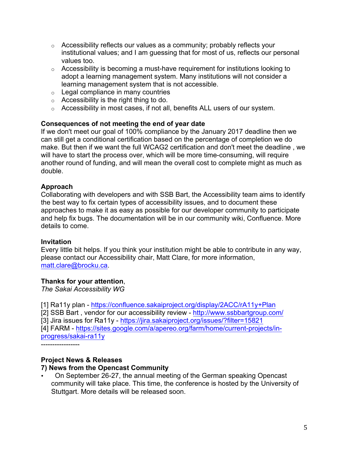- $\circ$  Accessibility reflects our values as a community; probably reflects your institutional values; and I am guessing that for most of us, reflects our personal values too.
- $\circ$  Accessibility is becoming a must-have requirement for institutions looking to adopt a learning management system. Many institutions will not consider a learning management system that is not accessible.
- o Legal compliance in many countries
- o Accessibility is the right thing to do.
- o Accessibility in most cases, if not all, benefits ALL users of our system.

### **Consequences of not meeting the end of year date**

If we don't meet our goal of 100% compliance by the January 2017 deadline then we can still get a conditional certification based on the percentage of completion we do make. But then if we want the full WCAG2 certification and don't meet the deadline , we will have to start the process over, which will be more time-consuming, will require another round of funding, and will mean the overall cost to complete might as much as double.

# **Approach**

Collaborating with developers and with SSB Bart, the Accessibility team aims to identify the best way to fix certain types of accessibility issues, and to document these approaches to make it as easy as possible for our developer community to participate and help fix bugs. The documentation will be in our community wiki, Confluence. More details to come.

#### **Invitation**

Every little bit helps. If you think your institution might be able to contribute in any way, please contact our Accessibility chair, Matt Clare, for more information, matt.clare@brocku.ca.

#### **Thanks for your attention**,

*The Sakai Accessibility WG*

[1] Ra11y plan - https://confluence.sakaiproject.org/display/2ACC/rA11y+Plan [2] SSB Bart , vendor for our accessibility review - http://www.ssbbartgroup.com/ [3] Jira issues for Ra11y - https://jira.sakaiproject.org/issues/?filter=15821 [4] FARM - https://sites.google.com/a/apereo.org/farm/home/current-projects/inprogress/sakai-ra11y

-----------------

# **Project News & Releases**

#### **7) News from the Opencast Community**

• On September 26-27, the annual meeting of the German speaking Opencast community will take place. This time, the conference is hosted by the University of Stuttgart. More details will be released soon.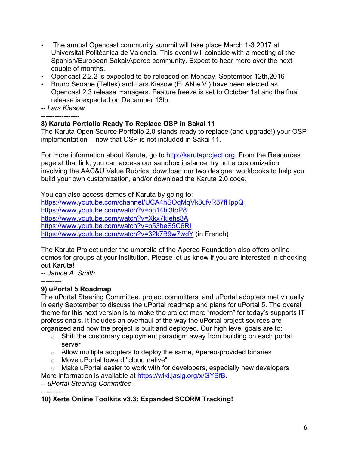- The annual Opencast community summit will take place March 1-3 2017 at Universitat Politécnica de Valencia. This event will coincide with a meeting of the Spanish/European Sakai/Apereo community. Expect to hear more over the next couple of months.
- Opencast 2.2.2 is expected to be released on Monday, September 12th,2016
- Bruno Seoane (Teltek) and Lars Kiesow (ELAN e.V.) have been elected as Opencast 2.3 release managers. Feature freeze is set to October 1st and the final release is expected on December 13th.

*-- Lars Kiesow*

-----------------

### **8) Karuta Portfolio Ready To Replace OSP in Sakai 11**

The Karuta Open Source Portfolio 2.0 stands ready to replace (and upgrade!) your OSP implementation -- now that OSP is not included in Sakai 11.

For more information about Karuta, go to http://karutaproject.org. From the Resources page at that link, you can access our sandbox instance, try out a customization involving the AAC&U Value Rubrics, download our two designer workbooks to help you build your own customization, and/or download the Karuta 2.0 code.

You can also access demos of Karuta by going to:

https://www.youtube.com/channel/UCA4hSOqMqVk3ufvR37fHppQ https://www.youtube.com/watch?v=oh14bi3IoP8 https://www.youtube.com/watch?v=Xkx7kIehs3A https://www.youtube.com/watch?v=o53beS5C6RI https://www.youtube.com/watch?v=32k7B9w7wdY (in French)

The Karuta Project under the umbrella of the Apereo Foundation also offers online demos for groups at your institution. Please let us know if you are interested in checking out Karuta!

*-- Janice A. Smith*

#### --------- **9) uPortal 5 Roadmap**

The uPortal Steering Committee, project committers, and uPortal adopters met virtually in early September to discuss the uPortal roadmap and plans for uPortal 5. The overall theme for this next version is to make the project more "modern" for today's supports IT professionals. It includes an overhaul of the way the uPortal project sources are organized and how the project is built and deployed. Our high level goals are to:

- o Shift the customary deployment paradigm away from building on each portal server
- $\circ$  Allow multiple adopters to deploy the same, Apereo-provided binaries
- o Move uPortal toward "cloud native"

o Make uPortal easier to work with for developers, especially new developers More information is available at https://wiki.jasig.org/x/GYBfB. *-- uPortal Steering Committee*

----------

**10) Xerte Online Toolkits v3.3: Expanded SCORM Tracking!**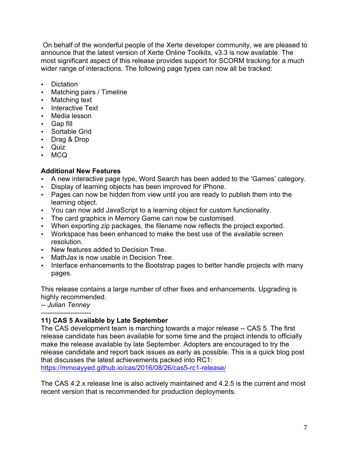On behalf of the wonderful people of the Xerte developer community, we are pleased to announce that the latest version of Xerte Online Toolkits, v3.3 is now available. The most significant aspect of this release provides support for SCORM tracking for a much wider range of interactions. The following page types can now all be tracked:

- Dictation
- Matching pairs / Timeline
- Matching text
- Interactive Text
- Media lesson
- Gap fill
- Sortable Grid
- Drag & Drop
- Quiz
- MCQ

#### **Additional New Features**

- A new interactive page type, Word Search has been added to the 'Games' category.
- Display of learning objects has been improved for iPhone.
- Pages can now be hidden from view until you are ready to publish them into the learning object.
- You can now add JavaScript to a learning object for custom functionality.
- The card graphics in Memory Game can now be customised.
- When exporting zip packages, the filename now reflects the project exported.
- Workspace has been enhanced to make the best use of the available screen resolution.
- New features added to Decision Tree.
- MathJax is now usable in Decision Tree.
- Interface enhancements to the Bootstrap pages to better handle projects with many pages.

This release contains a large number of other fixes and enhancements. Upgrading is highly recommended.

*-- Julian Tenney*

----------------------

# **11) CAS 5 Available by Late September**

The CAS development team is marching towards a major release -- CAS 5. The first release candidate has been available for some time and the project intends to officially make the release available by late September. Adopters are encouraged to try the release candidate and report back issues as early as possible. This is a quick blog post that discusses the latest achievements packed into RC1:

https://mmoayyed.github.io/cas/2016/08/26/cas5-rc1-release/

The CAS 4.2.x release line is also actively maintained and 4.2.5 is the current and most recent version that is recommended for production deployments.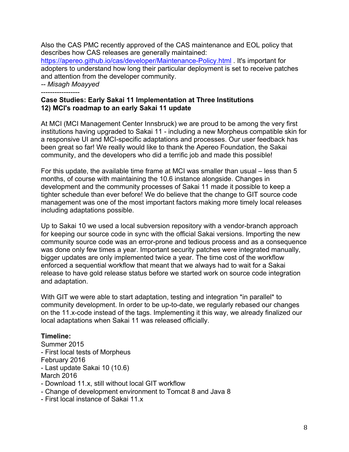Also the CAS PMC recently approved of the CAS maintenance and EOL policy that describes how CAS releases are generally maintained: https://apereo.github.io/cas/developer/Maintenance-Policy.html . It's important for adopters to understand how long their particular deployment is set to receive patches and attention from the developer community. *-- Misagh Moayyed*

-----------------

### **Case Studies: Early Sakai 11 Implementation at Three Institutions 12) MCI's roadmap to an early Sakai 11 update**

At MCI (MCI Management Center Innsbruck) we are proud to be among the very first institutions having upgraded to Sakai 11 - including a new Morpheus compatible skin for a responsive UI and MCI-specific adaptations and processes. Our user feedback has been great so far! We really would like to thank the Apereo Foundation, the Sakai community, and the developers who did a terrific job and made this possible!

For this update, the available time frame at MCI was smaller than usual – less than 5 months, of course with maintaining the 10.6 instance alongside. Changes in development and the community processes of Sakai 11 made it possible to keep a tighter schedule than ever before! We do believe that the change to GIT source code management was one of the most important factors making more timely local releases including adaptations possible.

Up to Sakai 10 we used a local subversion repository with a vendor-branch approach for keeping our source code in sync with the official Sakai versions. Importing the new community source code was an error-prone and tedious process and as a consequence was done only few times a year. Important security patches were integrated manually, bigger updates are only implemented twice a year. The time cost of the workflow enforced a sequential workflow that meant that we always had to wait for a Sakai release to have gold release status before we started work on source code integration and adaptation.

With GIT we were able to start adaptation, testing and integration \*in parallel\* to community development. In order to be up-to-date, we regularly rebased our changes on the 11.x-code instead of the tags. Implementing it this way, we already finalized our local adaptations when Sakai 11 was released officially.

# **Timeline:**

Summer 2015 - First local tests of Morpheus February 2016 - Last update Sakai 10 (10.6) March 2016 - Download 11.x, still without local GIT workflow - Change of development environment to Tomcat 8 and Java 8

- 
- First local instance of Sakai 11.x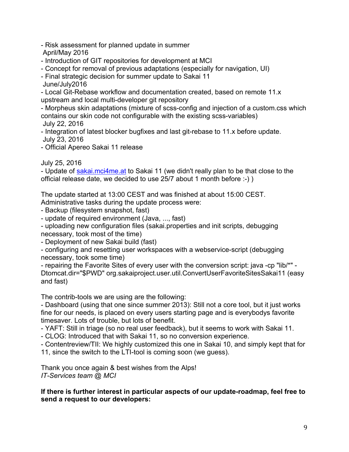- Risk assessment for planned update in summer April/May 2016
- Introduction of GIT repositories for development at MCI
- Concept for removal of previous adaptations (especially for navigation, UI)
- Final strategic decision for summer update to Sakai 11
- June/July2016

- Local Git-Rebase workflow and documentation created, based on remote 11.x upstream and local multi-developer git repository

- Morpheus skin adaptations (mixture of scss-config and injection of a custom.css which contains our skin code not configurable with the existing scss-variables) July 22, 2016

- Integration of latest blocker bugfixes and last git-rebase to 11.x before update. July 23, 2016
- Official Apereo Sakai 11 release

July 25, 2016

- Update of sakai.mci4me.at to Sakai 11 (we didn't really plan to be that close to the official release date, we decided to use 25/7 about 1 month before :-) )

The update started at 13:00 CEST and was finished at about 15:00 CEST. Administrative tasks during the update process were:

- Backup (filesystem snapshot, fast)

- update of required environment (Java, ..., fast)

- uploading new configuration files (sakai.properties and init scripts, debugging necessary, took most of the time)

- Deployment of new Sakai build (fast)

- configuring and resetting user workspaces with a webservice-script (debugging necessary, took some time)

- repairing the Favorite Sites of every user with the conversion script: java -cp "lib/\*" - Dtomcat.dir="\$PWD" org.sakaiproject.user.util.ConvertUserFavoriteSitesSakai11 (easy and fast)

The contrib-tools we are using are the following:

- Dashboard (using that one since summer 2013): Still not a core tool, but it just works fine for our needs, is placed on every users starting page and is everybodys favorite timesaver. Lots of trouble, but lots of benefit.

- YAFT: Still in triage (so no real user feedback), but it seems to work with Sakai 11.

- CLOG: Introduced that with Sakai 11, so no conversion experience.

- Contentreview/TII: We highly customized this one in Sakai 10, and simply kept that for

11, since the switch to the LTI-tool is coming soon (we guess).

Thank you once again & best wishes from the Alps! *IT-Services team @ MCI*

**If there is further interest in particular aspects of our update-roadmap, feel free to send a request to our developers:**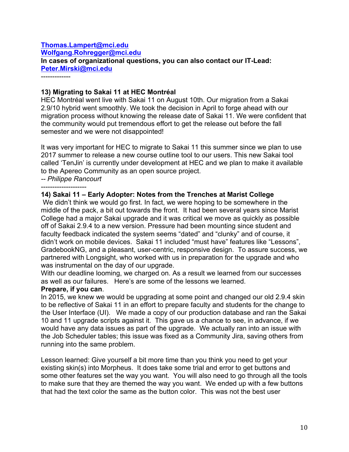# **Thomas.Lampert@mci.edu Wolfgang.Rohregger@mci.edu In cases of organizational questions, you can also contact our IT-Lead: Peter.Mirski@mci.edu**

-------------

### **13) Migrating to Sakai 11 at HEC Montréal**

HEC Montréal went live with Sakai 11 on August 10th. Our migration from a Sakai 2.9/10 hybrid went smoothly. We took the decision in April to forge ahead with our migration process without knowing the release date of Sakai 11. We were confident that the community would put tremendous effort to get the release out before the fall semester and we were not disappointed!

It was very important for HEC to migrate to Sakai 11 this summer since we plan to use 2017 summer to release a new course outline tool to our users. This new Sakai tool called 'TenJin' is currently under development at HEC and we plan to make it available to the Apereo Community as an open source project.

*-- Philippe Rancourt* --------------------

#### **14) Sakai 11 – Early Adopter: Notes from the Trenches at Marist College**

We didn't think we would go first. In fact, we were hoping to be somewhere in the middle of the pack, a bit out towards the front. It had been several years since Marist College had a major Sakai upgrade and it was critical we move as quickly as possible off of Sakai 2.9.4 to a new version. Pressure had been mounting since student and faculty feedback indicated the system seems "dated" and "clunky" and of course, it didn't work on mobile devices. Sakai 11 included "must have" features like "Lessons", GradebookNG, and a pleasant, user-centric, responsive design. To assure success, we partnered with Longsight, who worked with us in preparation for the upgrade and who was instrumental on the day of our upgrade.

With our deadline looming, we charged on. As a result we learned from our successes as well as our failures. Here's are some of the lessons we learned.

#### **Prepare, if you can**.

In 2015, we knew we would be upgrading at some point and changed our old 2.9.4 skin to be reflective of Sakai 11 in an effort to prepare faculty and students for the change to the User Interface (UI). We made a copy of our production database and ran the Sakai 10 and 11 upgrade scripts against it. This gave us a chance to see, in advance, if we would have any data issues as part of the upgrade. We actually ran into an issue with the Job Scheduler tables; this issue was fixed as a Community Jira, saving others from running into the same problem.

Lesson learned: Give yourself a bit more time than you think you need to get your existing skin(s) into Morpheus. It does take some trial and error to get buttons and some other features set the way you want. You will also need to go through all the tools to make sure that they are themed the way you want. We ended up with a few buttons that had the text color the same as the button color. This was not the best user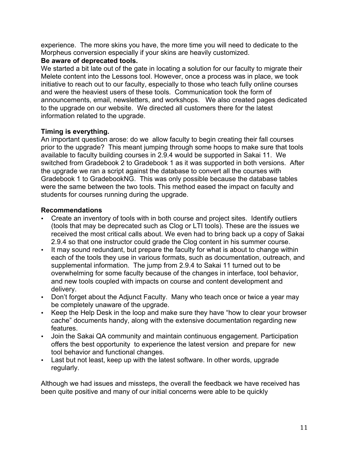experience. The more skins you have, the more time you will need to dedicate to the Morpheus conversion especially if your skins are heavily customized.

# **Be aware of deprecated tools.**

We started a bit late out of the gate in locating a solution for our faculty to migrate their Melete content into the Lessons tool. However, once a process was in place, we took initiative to reach out to our faculty, especially to those who teach fully online courses and were the heaviest users of these tools. Communication took the form of announcements, email, newsletters, and workshops. We also created pages dedicated to the upgrade on our website. We directed all customers there for the latest information related to the upgrade.

# **Timing is everything.**

An important question arose: do we allow faculty to begin creating their fall courses prior to the upgrade? This meant jumping through some hoops to make sure that tools available to faculty building courses in 2.9.4 would be supported in Sakai 11. We switched from Gradebook 2 to Gradebook 1 as it was supported in both versions. After the upgrade we ran a script against the database to convert all the courses with Gradebook 1 to GradebookNG. This was only possible because the database tables were the same between the two tools. This method eased the impact on faculty and students for courses running during the upgrade.

# **Recommendations**

- Create an inventory of tools with in both course and project sites. Identify outliers (tools that may be deprecated such as Clog or LTI tools). These are the issues we received the most critical calls about. We even had to bring back up a copy of Sakai 2.9.4 so that one instructor could grade the Clog content in his summer course.
- It may sound redundant, but prepare the faculty for what is about to change within each of the tools they use in various formats, such as documentation, outreach, and supplemental information. The jump from 2.9.4 to Sakai 11 turned out to be overwhelming for some faculty because of the changes in interface, tool behavior, and new tools coupled with impacts on course and content development and delivery.
- Don't forget about the Adjunct Faculty. Many who teach once or twice a year may be completely unaware of the upgrade.
- Keep the Help Desk in the loop and make sure they have "how to clear your browser cache" documents handy, along with the extensive documentation regarding new features.
- Join the Sakai QA community and maintain continuous engagement. Participation offers the best opportunity to experience the latest version and prepare for new tool behavior and functional changes.
- Last but not least, keep up with the latest software. In other words, upgrade regularly.

Although we had issues and missteps, the overall the feedback we have received has been quite positive and many of our initial concerns were able to be quickly